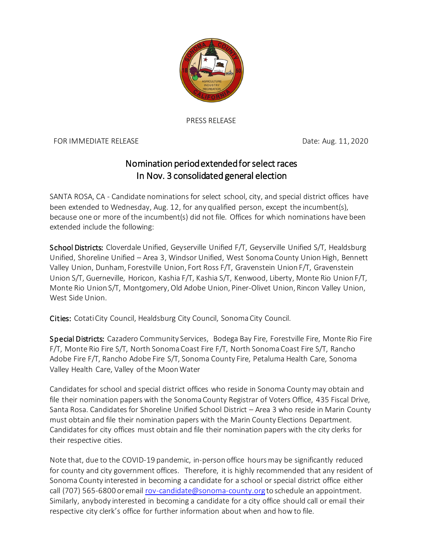

PRESS RELEASE

FOR IMMEDIATE RELEASE **Example 2018** 2020 Date: Aug. 11, 2020

## Nomination period extended for select races In Nov. 3 consolidated general election

SANTA ROSA, CA - Candidate nominations for select school, city, and special district offices have been extended to Wednesday, Aug. 12, for any qualified person, except the incumbent(s), because one or more of the incumbent(s) did not file. Offices for which nominations have been extended include the following:

School Districts: Cloverdale Unified, Geyserville Unified F/T, Geyserville Unified S/T, Healdsburg Unified, Shoreline Unified – Area 3, Windsor Unified, West Sonoma County Union High, Bennett Valley Union, Dunham, Forestville Union, Fort Ross F/T, Gravenstein Union F/T, Gravenstein Union S/T, Guerneville, Horicon, Kashia F/T, Kashia S/T, Kenwood, Liberty, Monte Rio Union F/T, Monte Rio Union S/T, Montgomery, Old Adobe Union, Piner-Olivet Union, Rincon Valley Union, West Side Union.

Cities: Cotati City Council, Healdsburg City Council, Sonoma City Council.

Special Districts: Cazadero Community Services, Bodega Bay Fire, Forestville Fire, Monte Rio Fire F/T, Monte Rio Fire S/T, North Sonoma Coast Fire F/T, North Sonoma Coast Fire S/T, Rancho Adobe Fire F/T, Rancho Adobe Fire S/T, Sonoma County Fire, Petaluma Health Care, Sonoma Valley Health Care, Valley of the Moon Water

Candidates for school and special district offices who reside in Sonoma County may obtain and file their nomination papers with the Sonoma County Registrar of Voters Office, 435 Fiscal Drive, Santa Rosa. Candidates for Shoreline Unified School District – Area 3 who reside in Marin County must obtain and file their nomination papers with the Marin County Elections Department. Candidates for city offices must obtain and file their nomination papers with the city clerks for their respective cities.

Note that, due to the COVID-19 pandemic, in-person office hours may be significantly reduced for county and city government offices. Therefore, it is highly recommended that any resident of Sonoma County interested in becoming a candidate for a school or special district office either call (707) 565-6800 or email [rov-candidate@sonoma-county.org](mailto:rov-candidate@sonoma-county.org) to schedule an appointment. Similarly, anybody interested in becoming a candidate for a city office should call or email their respective city clerk's office for further information about when and how to file.